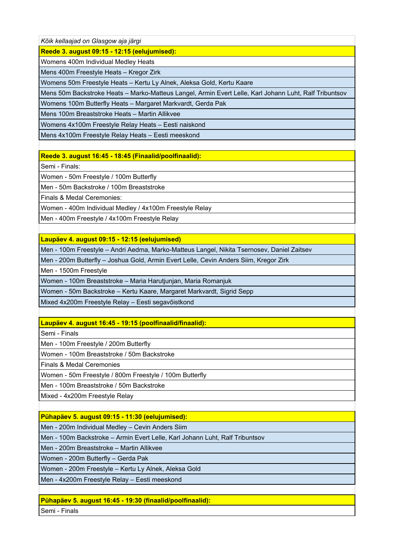*Kõik kellaajad on Glasgow aja järgi*

**Reede 3. august 09:15 - 12:15 (eelujumised):**

Womens 400m Individual Medley Heats

Mens 400m Freestyle Heats – Kregor Zirk

Womens 50m Freestyle Heats – Kertu Ly Alnek, Aleksa Gold, Kertu Kaare

Mens 50m Backstroke Heats – Marko-Matteus Langel, Armin Evert Lelle, Karl Johann Luht, Ralf Tribuntsov

Womens 100m Butterfly Heats – Margaret Markvardt, Gerda Pak

Mens 100m Breaststroke Heats – Martin Allikvee

Womens 4x100m Freestyle Relay Heats – Eesti naiskond

Mens 4x100m Freestyle Relay Heats – Eesti meeskond

**Reede 3. august 16:45 - 18:45 (Finaalid/poolfinaalid):**

Semi - Finals:

Women - 50m Freestyle / 100m Butterfly

Men - 50m Backstroke / 100m Breaststroke

Finals & Medal Ceremonies:

Women - 400m Individual Medley / 4x100m Freestyle Relay

Men - 400m Freestyle / 4x100m Freestyle Relay

**Laupäev 4. august 09:15 - 12:15 (eelujumised)**

Men - 100m Freestyle – Andri Aedma, Marko-Matteus Langel, Nikita Tsernosev, Daniel Zaitsev

Men - 200m Butterfly – Joshua Gold, Armin Evert Lelle, Cevin Anders Siim, Kregor Zirk

Men - 1500m Freestyle

Women - 100m Breaststroke – Maria Harutjunjan, Maria Romanjuk

Women - 50m Backstroke – Kertu Kaare, Margaret Markvardt, Sigrid Sepp

Mixed 4x200m Freestyle Relay – Eesti segavõistkond

# **Laupäev 4. august 16:45 - 19:15 (poolfinaalid/finaalid):**

Semi - Finals

Men - 100m Freestyle / 200m Butterfly

Women - 100m Breaststroke / 50m Backstroke

Finals & Medal Ceremonies

Women - 50m Freestyle / 800m Freestyle / 100m Butterfly

Men - 100m Breaststroke / 50m Backstroke

Mixed - 4x200m Freestyle Relay

**Pühapäev 5. august 09:15 - 11:30 (eelujumised):** 

Men - 200m Individual Medley – Cevin Anders Siim

Men - 100m Backstroke – Armin Evert Lelle, Karl Johann Luht, Ralf Tribuntsov

Men - 200m Breaststroke – Martin Allikvee

Women - 200m Butterfly – Gerda Pak

Women - 200m Freestyle – Kertu Ly Alnek, Aleksa Gold

Men - 4x200m Freestyle Relay – Eesti meeskond

**Pühapäev 5. august 16:45 - 19:30 (finaalid/poolfinaalid):** 

Semi - Finals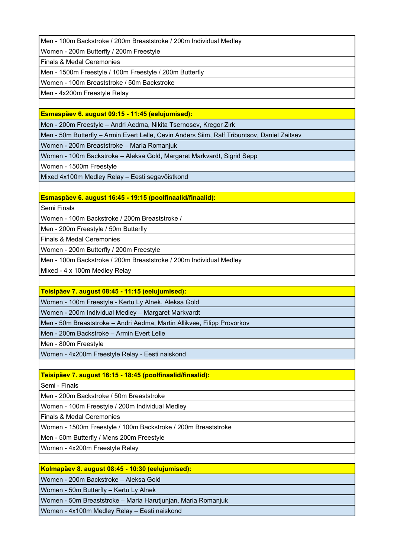Men - 100m Backstroke / 200m Breaststroke / 200m Individual Medley

Women - 200m Butterfly / 200m Freestyle

Finals & Medal Ceremonies

Men - 1500m Freestyle / 100m Freestyle / 200m Butterfly

Women - 100m Breaststroke / 50m Backstroke

Men - 4x200m Freestyle Relay

# **Esmaspäev 6. august 09:15 - 11:45 (eelujumised):**

Men - 200m Freestyle – Andri Aedma, Nikita Tsernosev, Kregor Zirk

Men - 50m Butterfly – Armin Evert Lelle, Cevin Anders Siim, Ralf Tribuntsov, Daniel Zaitsev

Women - 200m Breaststroke – Maria Romanjuk

Women - 100m Backstroke – Aleksa Gold, Margaret Markvardt, Sigrid Sepp

Women - 1500m Freestyle

Mixed 4x100m Medley Relay – Eesti segavõistkond

## **Esmaspäev 6. august 16:45 - 19:15 (poolfinaalid/finaalid):**

Semi Finals

Women - 100m Backstroke / 200m Breaststroke /

Men - 200m Freestyle / 50m Butterfly

Finals & Medal Ceremonies

Women - 200m Butterfly / 200m Freestyle

Men - 100m Backstroke / 200m Breaststroke / 200m Individual Medley

Mixed - 4 x 100m Medley Relay

### **Teisipäev 7. august 08:45 - 11:15 (eelujumised):**

Women - 100m Freestyle - Kertu Ly Alnek, Aleksa Gold

Women - 200m Individual Medley – Margaret Markvardt

Men - 50m Breaststroke – Andri Aedma, Martin Allikvee, Filipp Provorkov

Men - 200m Backstroke – Armin Evert Lelle

Men - 800m Freestyle

Women - 4x200m Freestyle Relay - Eesti naiskond

# **Teisipäev 7. august 16:15 - 18:45 (poolfinaalid/finaalid):**

Semi - Finals

Men - 200m Backstroke / 50m Breaststroke

Women - 100m Freestyle / 200m Individual Medley

Finals & Medal Ceremonies

Women - 1500m Freestyle / 100m Backstroke / 200m Breaststroke

Men - 50m Butterfly / Mens 200m Freestyle

Women - 4x200m Freestyle Relay

# **Kolmapäev 8. august 08:45 - 10:30 (eelujumised):**

Women - 200m Backstroke – Aleksa Gold

Women - 50m Butterfly – Kertu Ly Alnek

Women - 50m Breaststroke – Maria Harutjunjan, Maria Romanjuk

Women - 4x100m Medley Relay – Eesti naiskond